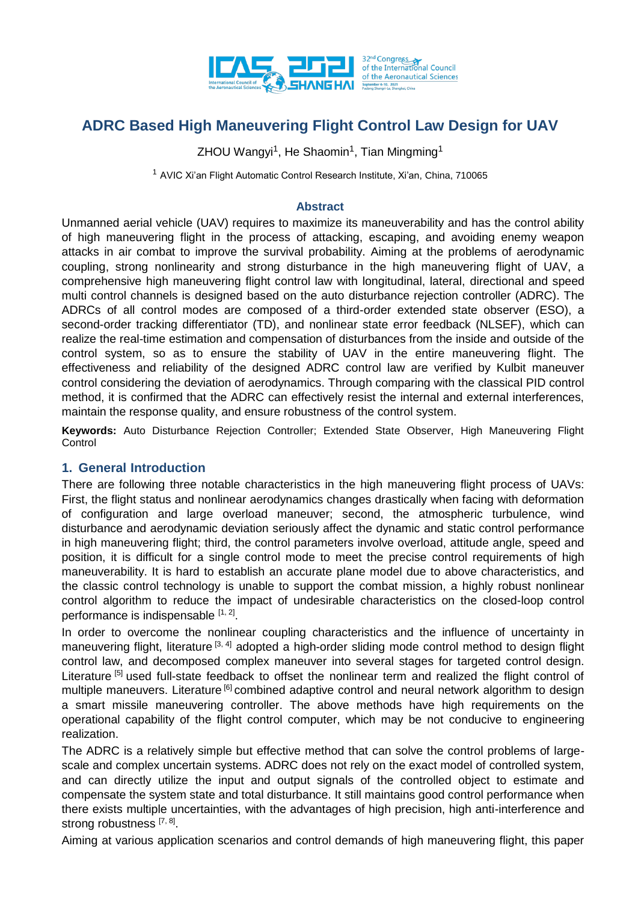

ZHOU Wangyi<sup>1</sup>, He Shaomin<sup>1</sup>, Tian Mingming<sup>1</sup>

<sup>1</sup> AVIC Xi'an Flight Automatic Control Research Institute, Xi'an, China, 710065

### **Abstract**

Unmanned aerial vehicle (UAV) requires to maximize its maneuverability and has the control ability of high maneuvering flight in the process of attacking, escaping, and avoiding enemy weapon attacks in air combat to improve the survival probability. Aiming at the problems of aerodynamic coupling, strong nonlinearity and strong disturbance in the high maneuvering flight of UAV, a comprehensive high maneuvering flight control law with longitudinal, lateral, directional and speed multi control channels is designed based on the auto disturbance rejection controller (ADRC). The ADRCs of all control modes are composed of a third-order extended state observer (ESO), a second-order tracking differentiator (TD), and nonlinear state error feedback (NLSEF), which can realize the real-time estimation and compensation of disturbances from the inside and outside of the control system, so as to ensure the stability of UAV in the entire maneuvering flight. The effectiveness and reliability of the designed ADRC control law are verified by Kulbit maneuver control considering the deviation of aerodynamics. Through comparing with the classical PID control method, it is confirmed that the ADRC can effectively resist the internal and external interferences, maintain the response quality, and ensure robustness of the control system.

**Keywords:** Auto Disturbance Rejection Controller; Extended State Observer, High Maneuvering Flight **Control** 

### **1. General Introduction**

There are following three notable characteristics in the high maneuvering flight process of UAVs: First, the flight status and nonlinear aerodynamics changes drastically when facing with deformation of configuration and large overload maneuver; second, the atmospheric turbulence, wind disturbance and aerodynamic deviation seriously affect the dynamic and static control performance in high maneuvering flight; third, the control parameters involve overload, attitude angle, speed and position, it is difficult for a single control mode to meet the precise control requirements of high maneuverability. It is hard to establish an accurate plane model due to above characteristics, and the classic control technology is unable to support the combat mission, a highly robust nonlinear control algorithm to reduce the impact of undesirable characteristics on the closed-loop control performance is indispensable [1, 2].

In order to overcome the nonlinear coupling characteristics and the influence of uncertainty in maneuvering flight, literature [3, 4] adopted a high-order sliding mode control method to design flight control law, and decomposed complex maneuver into several stages for targeted control design. Literature <sup>[5]</sup> used full-state feedback to offset the nonlinear term and realized the flight control of multiple maneuvers. Literature <sup>[6]</sup> combined adaptive control and neural network algorithm to design a smart missile maneuvering controller. The above methods have high requirements on the operational capability of the flight control computer, which may be not conducive to engineering realization.

The ADRC is a relatively simple but effective method that can solve the control problems of largescale and complex uncertain systems. ADRC does not rely on the exact model of controlled system, and can directly utilize the input and output signals of the controlled object to estimate and compensate the system state and total disturbance. It still maintains good control performance when there exists multiple uncertainties, with the advantages of high precision, high anti-interference and strong robustness [7, 8].

Aiming at various application scenarios and control demands of high maneuvering flight, this paper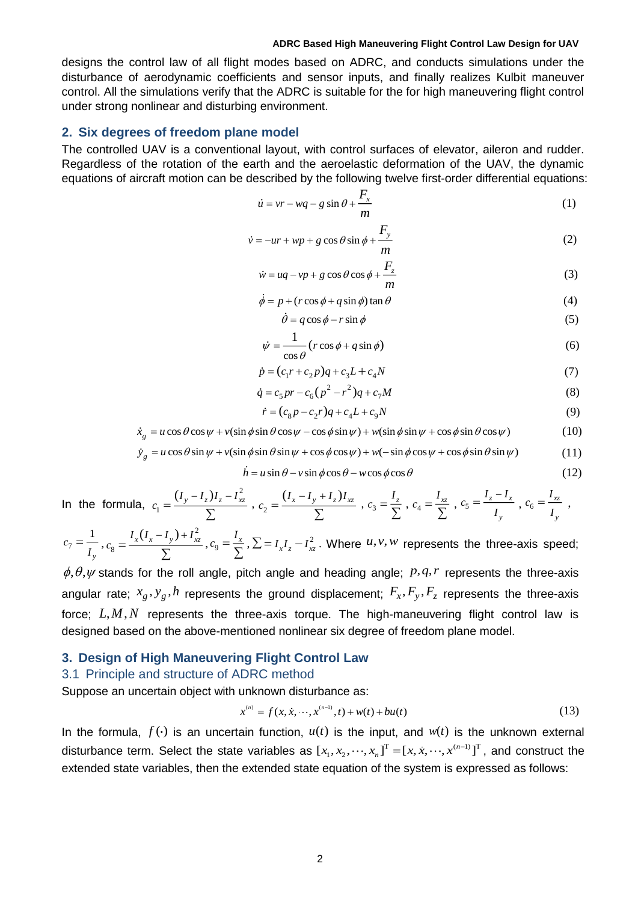designs the control law of all flight modes based on ADRC, and conducts simulations under the disturbance of aerodynamic coefficients and sensor inputs, and finally realizes Kulbit maneuver control. All the simulations verify that the ADRC is suitable for the for high maneuvering flight control under strong nonlinear and disturbing environment.

#### **2. Six degrees of freedom plane model**

The controlled UAV is a conventional layout, with control surfaces of elevator, aileron and rudder. Regardless of the rotation of the earth and the aeroelastic deformation of the UAV, the dynamic equations of aircraft motion can be described by the following twelve first-order differential equations:

$$
\dot{u} = vr - wq - g\sin\theta + \frac{F_x}{m} \tag{1}
$$

$$
\dot{v} = -ur + wp + g\cos\theta\sin\phi + \frac{F_y}{m}
$$
 (2)

$$
\dot{w} = uq - vp + g\cos\theta\cos\phi + \frac{F_z}{m}
$$
\n(3)

$$
\dot{\phi} = p + (r \cos \phi + q \sin \phi) \tan \theta \tag{4}
$$

$$
\dot{\theta} = q\cos\phi - r\sin\phi\tag{5}
$$

$$
\dot{\psi} = \frac{1}{\cos \theta} (r \cos \phi + q \sin \phi) \tag{6}
$$

$$
\dot{p} = (c_1r + c_2p)q + c_3L + c_4N\tag{7}
$$

$$
\dot{q} = c_5 pr - c_6 (p^2 - r^2) q + c_7 M \tag{8}
$$

$$
\dot{r} = (c_8 p - c_2 r)q + c_4 L + c_9 N \tag{9}
$$

$$
\dot{x}_g = u\cos\theta\cos\psi + v(\sin\phi\sin\theta\cos\psi - \cos\phi\sin\psi) + w(\sin\phi\sin\psi + \cos\phi\sin\theta\cos\psi)
$$
(10)

$$
\dot{y}_g = u\cos\theta\sin\psi + v(\sin\phi\sin\theta\sin\psi + \cos\phi\cos\psi) + w(-\sin\phi\cos\psi + \cos\phi\sin\theta\sin\psi)
$$
(11)

$$
\dot{h} = u \sin \theta - v \sin \phi \cos \theta - w \cos \phi \cos \theta \tag{12}
$$

In the formula, 2 1  $(I_y - I_z)I_z - I_{xz}^2$  $c_1 = \frac{(r_y - r_z)r_z}{\sum}$  $, c<sub>2</sub>$  $(I_x - I_y + I_z)I_{xz}$ *c*  $-I_{v}+I_{v}$  $=$ Σ  $c_3 = \frac{I_2}{I_1}$  $c_3 = \frac{1}{\sum_{}}$  $c_4 = \frac{I_{xz}}{\nabla}$  $c_4 = \frac{c_4}{\sum}$  $c_5 = \frac{z - x}{z}$ *y I*  $-I$  $c_5 = \frac{C_5}{I}$  $=\frac{I_z - I_x}{I_x}$ ,  $c_6 = \frac{I_{xz}}{I_x}$ *y I*  $c_6 = \frac{x_6}{I}$ ,

7  $c_7 = \frac{1}{I_{\dots}}$ *y* 2 8  $I_x (I_x - I_y) + I_{xz}^2$ *c*  $=\frac{I_x(I_x-I_y)+}{\sum}$  $, c_9 = \frac{I_x}{I_x}$  $c_9 = \frac{c_9}{\sum}$  $\sum_{n}$   $\sum = I_{x}I_{z} - I_{xz}^{2}$ . Where  $u, v, w$  represents the three-axis speed;

 $\phi$ ,  $\theta$ ,  $\psi$  stands for the roll angle, pitch angle and heading angle;  $p$ ,  $q$ ,  $r$  represents the three-axis angular rate;  $x_g$ ,  $y_g$ ,  $h$  represents the ground displacement;  $F_x$ ,  $F_y$ ,  $F_z$  represents the three-axis force;  $L, M, N$  represents the three-axis torque. The high-maneuvering flight control law is designed based on the above-mentioned nonlinear six degree of freedom plane model.

### **3. Design of High Maneuvering Flight Control Law**

#### 3.1 Principle and structure of ADRC method

Suppose an uncertain object with unknown disturbance as:

$$
x^{(n)} = f(x, \dot{x}, \dots, x^{(n-1)}, t) + w(t) + bu(t)
$$
\n(13)

In the formula,  $f(\cdot)$  is an uncertain function,  $u(t)$  is the input, and  $w(t)$  is the unknown external disturbance term. Select the state variables as  $[x_1, x_2, \dots, x_n]^T = [x, \dot{x}, \dots, x^{(n-1)}]^T$ , and construct the extended state variables, then the extended state equation of the system is expressed as follows: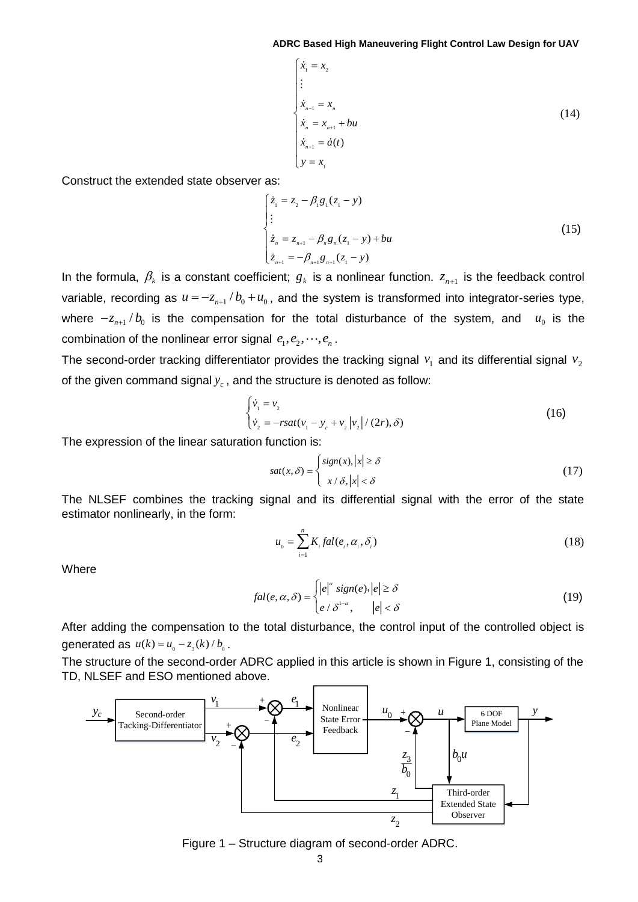$$
\begin{cases}\n\dot{x}_1 = x_2 \\
\vdots \\
\dot{x}_{n-1} = x_n \\
\dot{x}_n = x_{n+1} + bu \\
\dot{x}_{n+1} = \dot{a}(t) \\
y = x_1\n\end{cases}
$$
\n(14)

Construct the extended state observer as:

$$
\begin{cases}\n\dot{z}_1 = z_2 - \beta_1 g_1 (z_1 - y) \\
\vdots \\
\dot{z}_n = z_{n+1} - \beta_n g_n (z_1 - y) + bu \\
\dot{z}_{n+1} = -\beta_{n+1} g_{n+1} (z_1 - y)\n\end{cases}
$$
\n(15)

In the formula,  $\beta_k$  is a constant coefficient;  $g_k$  is a nonlinear function.  $z_{n+1}$  is the feedback control variable, recording as  $u = -z_{n+1}/b_0 + u_0$ , and the system is transformed into integrator-series type, where  $-z_{n+1}/b_0$  is the compensation for the total disturbance of the system, and  $u_0$  is the combination of the nonlinear error signal  $e_1, e_2, \dots, e_n$ .

The second-order tracking differentiator provides the tracking signal  $v_1$  and its differential signal  $v_2$ of the given command signal  $y_c$  , and the structure is denoted as follow:

$$
\begin{cases} \dot{v}_1 = v_2 \\ \dot{v}_2 = -rsat(v_1 - y_c + v_2 |v_2| / (2r), \delta) \end{cases}
$$
 (16)

The expression of the linear saturation function is:

$$
sat(x,\delta) = \begin{cases} sign(x), |x| \ge \delta \\ x/\delta, |x| < \delta \end{cases}
$$
 (17)

The NLSEF combines the tracking signal and its differential signal with the error of the state estimator nonlinearly, in the form:

$$
u_{0} = \sum_{i=1}^{n} K_{i} fal(e_{i}, \alpha_{i}, \delta_{i})
$$
\n(18)

**Where** 

$$
fal(e, \alpha, \delta) = \begin{cases} |e|^{\alpha} \operatorname{sign}(e), |e| \ge \delta \\ e / \delta^{1-\alpha}, & |e| < \delta \end{cases}
$$
 (19)

After adding the compensation to the total disturbance, the control input of the controlled object is generated as  $u(k) = u_0 - z_3(k) / b_0$ .

The structure of the second-order ADRC applied in this article is shown in Figure 1, consisting of the TD, NLSEF and ESO mentioned above.



Figure 1 – Structure diagram of second-order ADRC.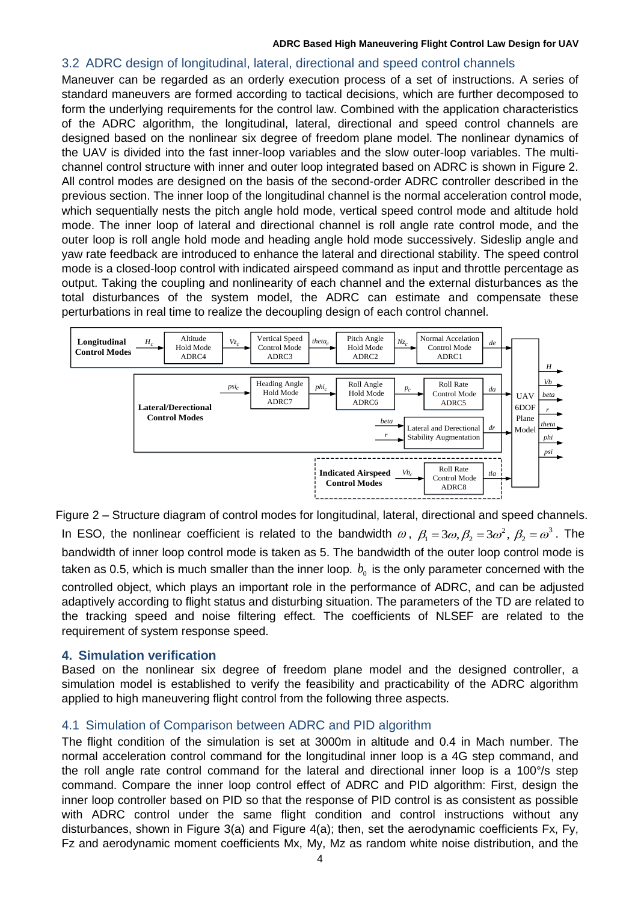### 3.2 ADRC design of longitudinal, lateral, directional and speed control channels

Maneuver can be regarded as an orderly execution process of a set of instructions. A series of standard maneuvers are formed according to tactical decisions, which are further decomposed to form the underlying requirements for the control law. Combined with the application characteristics of the ADRC algorithm, the longitudinal, lateral, directional and speed control channels are designed based on the nonlinear six degree of freedom plane model. The nonlinear dynamics of the UAV is divided into the fast inner-loop variables and the slow outer-loop variables. The multichannel control structure with inner and outer loop integrated based on ADRC is shown in Figure 2. All control modes are designed on the basis of the second-order ADRC controller described in the previous section. The inner loop of the longitudinal channel is the normal acceleration control mode, which sequentially nests the pitch angle hold mode, vertical speed control mode and altitude hold mode. The inner loop of lateral and directional channel is roll angle rate control mode, and the outer loop is roll angle hold mode and heading angle hold mode successively. Sideslip angle and yaw rate feedback are introduced to enhance the lateral and directional stability. The speed control mode is a closed-loop control with indicated airspeed command as input and throttle percentage as output. Taking the coupling and nonlinearity of each channel and the external disturbances as the total disturbances of the system model, the ADRC can estimate and compensate these perturbations in real time to realize the decoupling design of each control channel.



Figure 2 – Structure diagram of control modes for longitudinal, lateral, directional and speed channels. In ESO, the nonlinear coefficient is related to the bandwidth  $\omega$ ,  $\beta_1 = 3\omega, \beta_2 = 3\omega^2, \beta_2 = \omega^3$ . The bandwidth of inner loop control mode is taken as 5. The bandwidth of the outer loop control mode is taken as 0.5, which is much smaller than the inner loop.  $b_{\scriptscriptstyle 0}$  is the only parameter concerned with the controlled object, which plays an important role in the performance of ADRC, and can be adjusted adaptively according to flight status and disturbing situation. The parameters of the TD are related to the tracking speed and noise filtering effect. The coefficients of NLSEF are related to the requirement of system response speed.

### **4. Simulation verification**

Based on the nonlinear six degree of freedom plane model and the designed controller, a simulation model is established to verify the feasibility and practicability of the ADRC algorithm applied to high maneuvering flight control from the following three aspects.

### 4.1 Simulation of Comparison between ADRC and PID algorithm

The flight condition of the simulation is set at 3000m in altitude and 0.4 in Mach number. The normal acceleration control command for the longitudinal inner loop is a 4G step command, and the roll angle rate control command for the lateral and directional inner loop is a 100°/s step command. Compare the inner loop control effect of ADRC and PID algorithm: First, design the inner loop controller based on PID so that the response of PID control is as consistent as possible with ADRC control under the same flight condition and control instructions without any disturbances, shown in Figure 3(a) and Figure 4(a); then, set the aerodynamic coefficients Fx, Fy, Fz and aerodynamic moment coefficients Mx, My, Mz as random white noise distribution, and the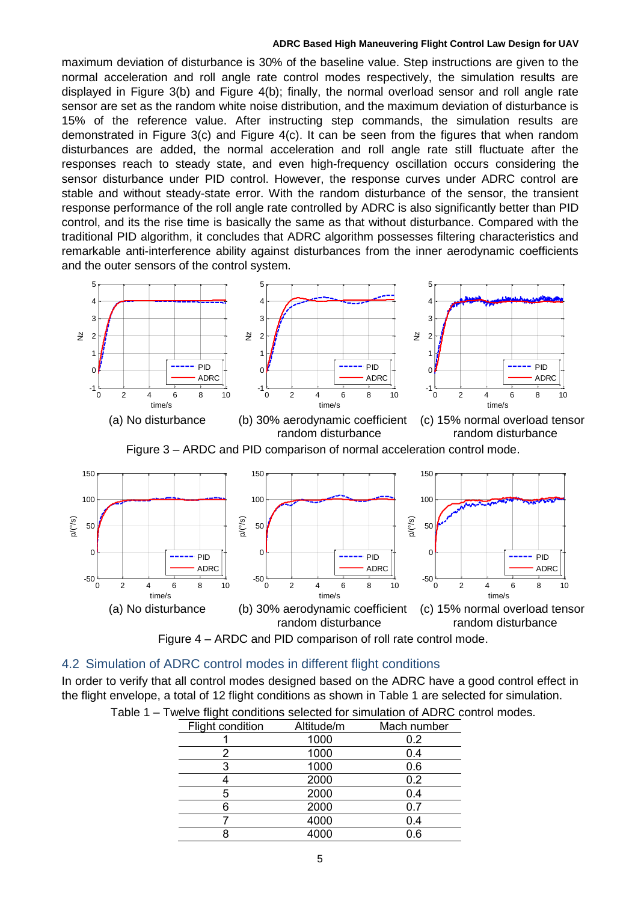maximum deviation of disturbance is 30% of the baseline value. Step instructions are given to the normal acceleration and roll angle rate control modes respectively, the simulation results are displayed in Figure 3(b) and Figure 4(b); finally, the normal overload sensor and roll angle rate sensor are set as the random white noise distribution, and the maximum deviation of disturbance is 15% of the reference value. After instructing step commands, the simulation results are demonstrated in Figure 3(c) and Figure 4(c). It can be seen from the figures that when random disturbances are added, the normal acceleration and roll angle rate still fluctuate after the responses reach to steady state, and even high-frequency oscillation occurs considering the sensor disturbance under PID control. However, the response curves under ADRC control are stable and without steady-state error. With the random disturbance of the sensor, the transient response performance of the roll angle rate controlled by ADRC is also significantly better than PID control, and its the rise time is basically the same as that without disturbance. Compared with the traditional PID algorithm, it concludes that ADRC algorithm possesses filtering characteristics and remarkable anti-interference ability against disturbances from the inner aerodynamic coefficients and the outer sensors of the control system.



random disturbance and a random disturbance



Figure 3 – ARDC and PID comparison of normal acceleration control mode.





#### 4.2 Simulation of ADRC control modes in different flight conditions

In order to verify that all control modes designed based on the ADRC have a good control effect in the flight envelope, a total of 12 flight conditions as shown in Table 1 are selected for simulation.

| Flight condition | Altitude/m | Mach number |
|------------------|------------|-------------|
|                  | 1000       | 0.2         |
| 2                | 1000       | 0.4         |
| 3                | 1000       | 0.6         |
|                  | 2000       | 0.2         |
| 5                | 2000       | 0.4         |
|                  | 2000       | 0.7         |
|                  | 4000       | 0.4         |
| 8                | 4000       | 0.6         |

| Table 1 – Twelve flight conditions selected for simulation of ADRC control modes. |
|-----------------------------------------------------------------------------------|
|                                                                                   |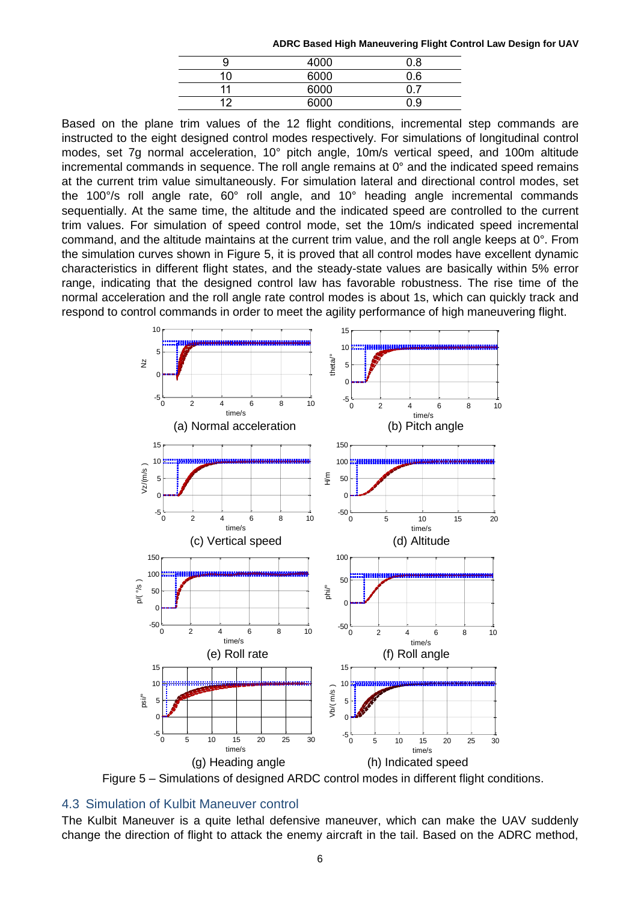|                | 4000 | 0.8 |
|----------------|------|-----|
| 10             | 6000 | 0.6 |
| 44             | 6000 |     |
| $\overline{1}$ | 6000 | ი 9 |

Based on the plane trim values of the 12 flight conditions, incremental step commands are instructed to the eight designed control modes respectively. For simulations of longitudinal control modes, set 7g normal acceleration, 10° pitch angle, 10m/s vertical speed, and 100m altitude incremental commands in sequence. The roll angle remains at 0° and the indicated speed remains<br>at the current trim value simultaneously. For simulation lateral and directional control modes, set at the current trim value simultaneously. For simulation lateral and directional control modes, set the 100°/s roll angle rate, 60° roll angle, and 10° heading angle incremental commands sequentially. At the same time, the altitude and the indicated speed are controlled to the current trim values. For simulation of speed control mode, set the 10m/s indicated speed incremental command, and the altitude maintains at the current trim value, and the roll angle keeps at  $0^\circ$ . From command, and the altitude maintains at the current trim value, and the roll angle keeps at 0°. From<br>the simulation curves shown in Figure 5, it is proved that all control modes have excellent dynamic<br>characteristics in dif characteristics in different flight states, and the steady-state values are basically within 5% error range, indicating that the designed control law has favorable robustness. The rise time of the normal acceleration and the roll angle rate control modes is about 1s, which can quickly track and respond to control commands in order to meet the agility performance of high maneuvering flight.  $\mathcal{L}$ partemanas of bigh monouus t(s) In different flight states, and the steady<br>in different flight states, and the steady  $\overline{a}$  and  $\overline{a}$  and  $\overline{a}$  and  $\overline{a}$  $\frac{1}{2}$   $\frac{1}{2}$   $\frac{1}{2}$   $\frac{1}{2}$   $\frac{1}{2}$   $\frac{1}{2}$   $\frac{1}{2}$   $\frac{1}{2}$   $\frac{1}{2}$   $\frac{1}{2}$   $\frac{1}{2}$   $\frac{1}{2}$   $\frac{1}{2}$   $\frac{1}{2}$   $\frac{1}{2}$   $\frac{1}{2}$   $\frac{1}{2}$   $\frac{1}{2}$   $\frac{1}{2}$   $\frac{1}{2}$   $\frac{1}{2}$   $\frac{1}{2}$   $\mathbf{u}$  s 0 2 4 6 8 10  $\cdot$ s,



Figure 5 - Simulations of designed ARDC control modes in different flight conditions.

## 4.3 Simulation of Kulbit Maneuver control

The Kulbit Maneuver is a quite lethal defensive maneuver, which can make the UAV suddenly change the direction of flight to attack the enemy aircraft in the tail. Based on the ADRC method,  $n \in \mathbb{R}$ f Kulbit Maneuver control<br>iver is a quite lethal defensive maneuver, which can make the UAV sure maneuver, which can make the UAV su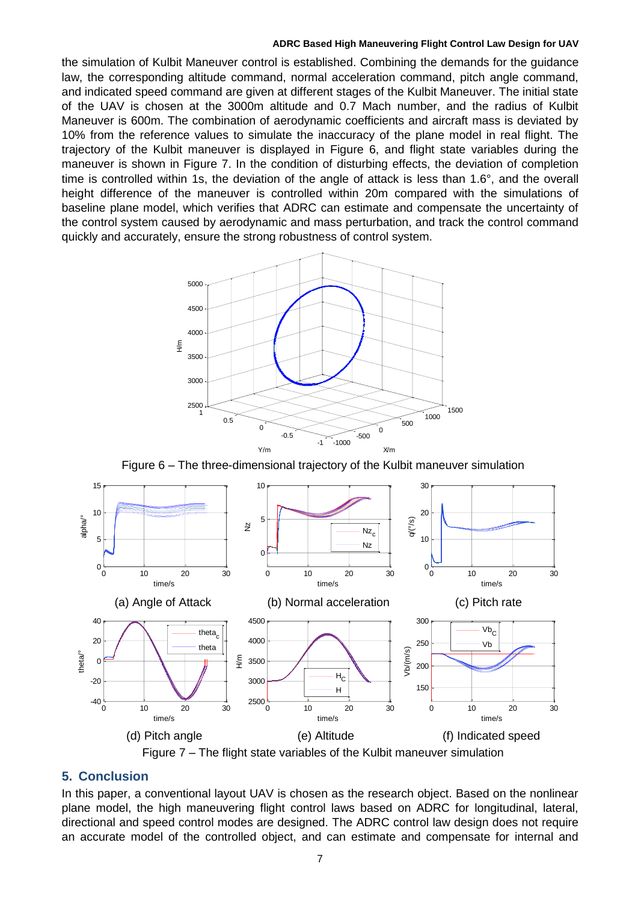the simulation of Kulbit Maneuver control is established. Combining the demands for the guidance law, the corresponding altitude command, normal acceleration command, pitch angle command, and indicated speed command are given at different stages of the Kulbit Maneuver. The initial state of the UAV is chosen at the 3000m altitude and 0.7 Mach number, and the radius of Kulbit Maneuver is 600m. The combination of aerodynamic coefficients and aircraft mass is deviated by 10% from the reference values to simulate the inaccuracy of the plane model in real flight. The trajectory of the Kulbit maneuver is displayed in Figure 6, and flight state variables during the maneuver is shown in Figure 7. In the condition of disturbing effects, the deviation of completion time is controlled within 1s, the deviation of the angle of attack is less than 1.6°, and the overall height difference of the maneuver is controlled within 20m compared with the simulations of baseline plane model, which verifies that ADRC can estimate and compensate the uncertainty of the control system caused by aerodynamic and mass perturbation, and track the control command quickly and accurately, ensure the strong robustness of control system.



Figure 6 – The three-dimensional trajectory of the Kulbit maneuver simulation



# **5. Conclusion**

Figure 7 – The flight state variables of the Kulbit maneuver simulation<br>
n<br>
conventional layout UAV is chosen as the research object. Based or<br>
ne high maneuvering flight control laws based on ADRC for longit In this paper, a conventional layout UAV is chosen as the research object. Based on the nonlinear plane model, the high maneuvering flight control laws based on ADRC for longitudinal, lateral, directional and speed control modes are designed. The ADRC control law design does not require an accurate model of the controlled object, and can estimate and compensate for internal and Figure<br>Conclusion<br>this paper, a conver<br>ine model, the high AV IS CHUSEIT AS THE TESEATUL UDJ naneuver simulation<br>ch object. Based on<br>on ADRC for longitu poper a conventional loveut LLAN **Conclusion**<br>this paper, a conver<br>ne model, the high<br>ectional and speed<br>escurate model of are designed. The ADRC of t UAV is chosen as<br>ng flight control la<br>es are designed. Tl trol law design does not regu ch object. Based on<br>in ADRC for longiture<br>ond components fo